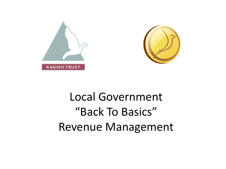



# Local Government "Back To Basics" Revenue Management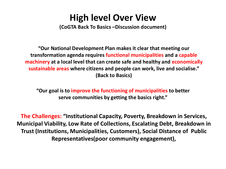## **High level Over View**

**(CoGTA Back To Basics –Discussion document)**

**"Our National Development Plan makes it clear that meeting our transformation agenda requires functional municipalities and a capable machinery at a local level that can create safe and healthy and economically sustainable areas where citizens and people can work, live and socialise." (Back to Basics)** 

**"Our goal is to improve the functioning of municipalities to better serve communities by getting the basics right."** 

**The Challenges: "Institutional Capacity, Poverty, Breakdown in Services, Municipal Viability, Low Rate of Collections, Escalating Debt, Breakdown in Trust (Institutions, Municipalities, Customers), Social Distance of Public Representatives(poor community engagement),**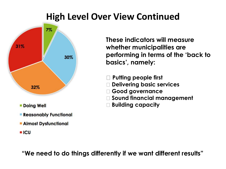## **High Level Over View Continued**



- **Doing Well**
- **Reasonably Functional**
- **Almost Dysfunctional**
- **ICU**

**These indicators will measure whether municipalities are performing in terms of the 'back to basics', namely:** 

- **Putting people first**
- **Delivering basic services**
- **Good governance**
- **Sound financial management**
- **Building capacity**

**"We need to do things differently if we want different results"**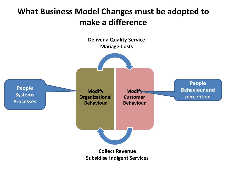### **What Business Model Changes must be adopted to make a difference**

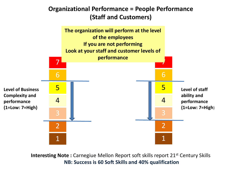### **Organizational Performance = People Performance (Staff and Customers)**



**Interesting Note :** Carnegiue Mellon Report soft skills report 21<sup>st</sup> Century Skills **NB: Success is 60 Soft Skills and 40% qualification**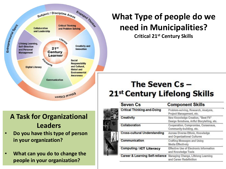

### **A Task for Organizational Leaders**

- **Do you have this type of person in your organization?**
- **What can you do to change the people in your organization?**

## **What Type of people do we need in Municipalities?**

**Critical 21st Century Skills**

## The Seven  $Cs -$ 21st Century Lifelong Skills

| <b>Seven Cs</b>                            | <b>Component Skills</b>                                                           |
|--------------------------------------------|-----------------------------------------------------------------------------------|
| <b>Critical Thinking-and-Doing</b>         | Problem-solving, Research, Analysis,<br>Project Management, etc.                  |
| Creativity                                 | New Knowledge Creation, "Best Fit"<br>Design Solutions, Artful Storytelling, etc. |
| Collaboration                              | Cooperation, Compromise, Consensus,<br>Community-building, etc.                   |
| <b>Cross-cultural Understanding</b>        | Across Diverse Ethnic, Knowledge<br>and Organizational Cultures                   |
| Communication                              | <b>Crafting Messages and Using</b><br>Media Effectively                           |
| <b>Computing / ICT Literacy</b>            | Effective Use of Electronic Information<br>and Knowledge Tools                    |
| <b>Career &amp; Learning Self-reliance</b> | Managing Change, Lifelong Learning<br>and Career Redefinition                     |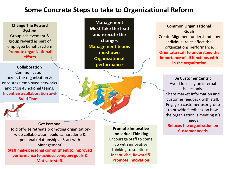### **Some Concrete Steps to take to Organizational Reform**

#### **Change The Reward System** Group achievement & group reward as part of employee benefit system **Promote organizational efforts**

#### **Collaboration**

Communication across the organization & encourage employee networks and cross-functional teams. **Incentivise collaboration and Build Teams**



#### **Get Personal**

Hold off-site retreats promoting organizationwide collaboration, build camaraderie & personal relationships. (Start with Management) **Staff make personal commitment to improved** 

**performance to achieve company goals & Motivate staff.**

**Management Must Take the lead and execute the changes Management teams must own Organizational performance**

#### **Promote Innovative Individual Thinking** Encourage Staff to come up with innovative thinking to solutions. **Incentivise, Reward & Promote Innovation**

#### **Common Organizational Goals**

Create Alignment understand how Individual roles affect the organizations performance. **Orientate staff to understand the importance of all functions with in the organization**

> **Be Customer Centric** Avoid focusing on internal issues only. Share market information and customer feedback with staff. Engage a customer user group to provide feedback on how the organization is meeting it's needs **Refocus the organization on Customer needs**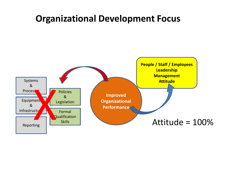## **Organizational Development Focus**

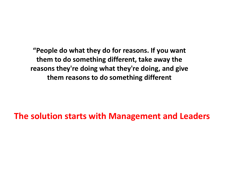**"People do what they do for reasons. If you want them to do something different, take away the reasons they're doing what they're doing, and give them reasons to do something different**

**The solution starts with Management and Leaders**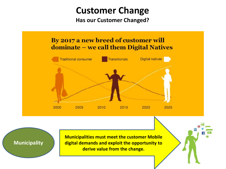## **Customer Change**

**Has our Customer Changed?**

### By 2017 a new breed of customer will dominate – we call them Digital Natives



**Municipalities must meet the customer Mobile digital demands and exploit the opportunity to derive value from the change.** 

**Municipality**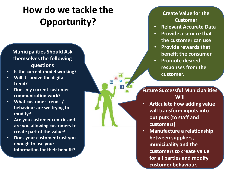# **How do we tackle the Opportunity?**

#### **Municipalities Should Ask themselves the following questions**

- **Is the current model working?**
- **Will it survive the digital trend?**
- **Does my current customer communication work?**
- **What customer trends / behaviour are we trying to modify?**
- **Are you customer centric and are you allowing customers to create part of the value?**
- **Does your customer trust you enough to use your information for their benefit?**

#### **Create Value for the Customer**

- **Relevant Accurate Data**
- **Provide a service that the customer can use**
- **Provide rewards that benefit the consumer**
- **Promote desired responses from the customer.**

**Future Successful Municipalities Will**

- **Articulate how adding value will transform inputs into out puts (to staff and customers)**
- **Manufacture a relationship between suppliers, municipality and the customers to create value for all parties and modify customer behaviour.**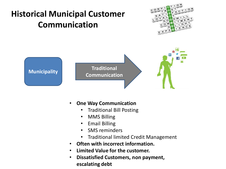

- **One Way Communication**
	- Traditional Bill Posting
	- MMS Billing
	- Email Billing
	- SMS reminders
	- Traditional limited Credit Management
- **Often with incorrect information.**
- **Limited Value for the customer.**
- **Dissatisfied Customers, non payment, escalating debt**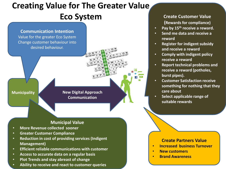## **Creating Value for The Greater Value Eco System**

**Communication Intention** Value for the greater Eco System Change customer behaviour into desired behaviour.

**Municipality**

**New Digital Approach Communication**

#### **Municipal Value**

- **More Revenue collected sooner**
- **Greater Customer Compliance**
- **Reduction in cost of providing services (Indigent Management)**
- **Efficient reliable communications with customer**
- **Access to accurate data on a regular basis**
- **Plot Trends and stay abreast of change**
- **Ability to receive and react to customer queries**

**Create Customer Value (Rewards for compliance)**

- **Pay by 15th receive a reward.**
- **Send me data and receive a reward**
- **Register for indigent subsidy and receive a reward**
- **Comply with indigent policy receive a reward**
- **Report technical problems and receive a reward (potholes, burst pipes).**
- **Customer Satisfaction receive something for nothing that they care about**
- **Select applicable range of suitable rewards**

#### **Create Partners Value**

- **Increased business Turnover**
- **New customers**
- **Brand Awareness**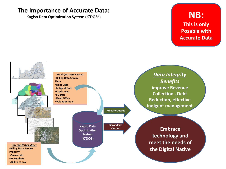### **The Importance of Accurate Data:**

**Kagiso Data Optimization System (K'DOS")**

### **NB: This is only Posable with Accurate Data**